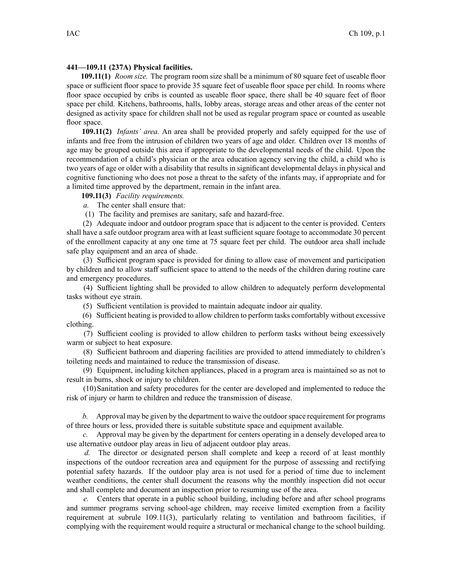## **441—109.11 (237A) Physical facilities.**

**109.11(1)** *Room size.* The program room size shall be <sup>a</sup> minimum of 80 square feet of useable floor space or sufficient floor space to provide 35 square feet of useable floor space per child. In rooms where floor space occupied by cribs is counted as useable floor space, there shall be 40 square feet of floor space per child. Kitchens, bathrooms, halls, lobby areas, storage areas and other areas of the center not designed as activity space for children shall not be used as regular program space or counted as useable floor space.

**109.11(2)** *Infants' area.* An area shall be provided properly and safely equipped for the use of infants and free from the intrusion of children two years of age and older. Children over 18 months of age may be grouped outside this area if appropriate to the developmental needs of the child. Upon the recommendation of <sup>a</sup> child's physician or the area education agency serving the child, <sup>a</sup> child who is two years of age or older with <sup>a</sup> disability that results in significant developmental delays in physical and cognitive functioning who does not pose <sup>a</sup> threat to the safety of the infants may, if appropriate and for <sup>a</sup> limited time approved by the department, remain in the infant area.

**109.11(3)** *Facility requirements.*

*a.* The center shall ensure that:

(1) The facility and premises are sanitary, safe and hazard-free.

(2) Adequate indoor and outdoor program space that is adjacent to the center is provided. Centers shall have <sup>a</sup> safe outdoor program area with at least sufficient square footage to accommodate 30 percen<sup>t</sup> of the enrollment capacity at any one time at 75 square feet per child. The outdoor area shall include safe play equipment and an area of shade.

(3) Sufficient program space is provided for dining to allow ease of movement and participation by children and to allow staff sufficient space to attend to the needs of the children during routine care and emergency procedures.

(4) Sufficient lighting shall be provided to allow children to adequately perform developmental tasks without eye strain.

(5) Sufficient ventilation is provided to maintain adequate indoor air quality.

(6) Sufficient heating is provided to allow children to perform tasks comfortably without excessive clothing.

(7) Sufficient cooling is provided to allow children to perform tasks without being excessively warm or subject to heat exposure.

(8) Sufficient bathroom and diapering facilities are provided to attend immediately to children's toileting needs and maintained to reduce the transmission of disease.

(9) Equipment, including kitchen appliances, placed in <sup>a</sup> program area is maintained so as not to result in burns, shock or injury to children.

(10)Sanitation and safety procedures for the center are developed and implemented to reduce the risk of injury or harm to children and reduce the transmission of disease.

*b.* Approval may be given by the department to waive the outdoorspace requirement for programs of three hours or less, provided there is suitable substitute space and equipment available.

*c.* Approval may be given by the department for centers operating in <sup>a</sup> densely developed area to use alternative outdoor play areas in lieu of adjacent outdoor play areas.

*d.* The director or designated person shall complete and keep <sup>a</sup> record of at least monthly inspections of the outdoor recreation area and equipment for the purpose of assessing and rectifying potential safety hazards. If the outdoor play area is not used for <sup>a</sup> period of time due to inclement weather conditions, the center shall document the reasons why the monthly inspection did not occur and shall complete and document an inspection prior to resuming use of the area.

*e.* Centers that operate in <sup>a</sup> public school building, including before and after school programs and summer programs serving school-age children, may receive limited exemption from <sup>a</sup> facility requirement at subrule 109.11(3), particularly relating to ventilation and bathroom facilities, if complying with the requirement would require <sup>a</sup> structural or mechanical change to the school building.